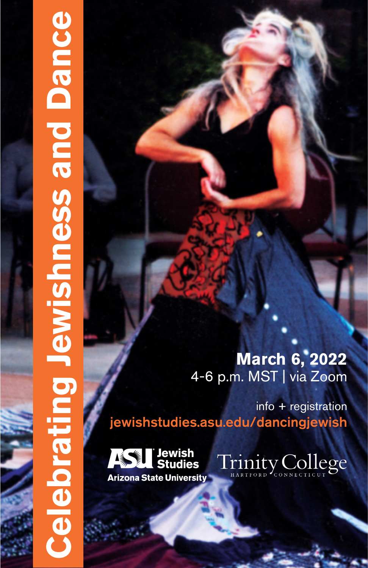# **March 6, 2022** 4-6 p.m. MST | via Zoom

info + registration jewishstudies.asu.edu/dancingjewish



**Celebrating Jewishness and Dance**

**Celebrating Jewishness and Dance** 

Trinity College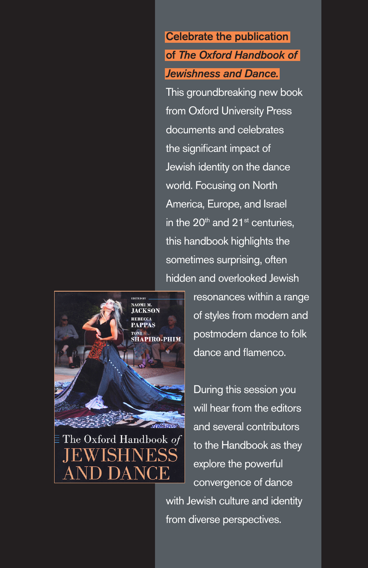Celebrate the publication of *The Oxford Handbook of Jewishness and Dance.*  This groundbreaking new book from Oxford University Press documents and celebrates the significant impact of Jewish identity on the dance world. Focusing on North America, Europe, and Israel in the  $20<sup>th</sup>$  and  $21<sup>st</sup>$  centuries. this handbook highlights the sometimes surprising, often hidden and overlooked Jewish

NAOMI M. **JACKSON HAPIRO-PHIM** The Oxford Handbook of resonances within a range of styles from modern and postmodern dance to folk dance and flamenco.

During this session you will hear from the editors and several contributors to the Handbook as they explore the powerful convergence of dance with Jewish culture and identity from diverse perspectives.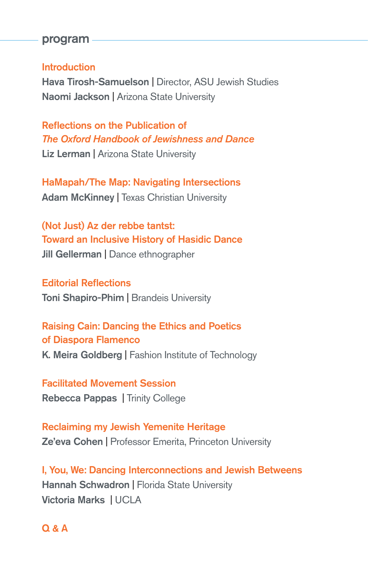#### program

#### Introduction

Hava Tirosh-Samuelson | Director, ASU Jewish Studies Naomi Jackson | Arizona State University

Reflections on the Publication of *The Oxford Handbook of Jewishness and Dance* Liz Lerman | Arizona State University

HaMapah/The Map: Navigating Intersections Adam McKinney | Texas Christian University

(Not Just) Az der rebbe tantst: Toward an Inclusive History of Hasidic Dance Jill Gellerman | Dance ethnographer

Editorial Reflections Toni Shapiro-Phim | Brandeis University

Raising Cain: Dancing the Ethics and Poetics of Diaspora Flamenco K. Meira Goldberg | Fashion Institute of Technology

Facilitated Movement Session Rebecca Pappas | Trinity College

Reclaiming my Jewish Yemenite Heritage Ze'eva Cohen | Professor Emerita, Princeton University

I, You, We: Dancing Interconnections and Jewish Betweens **Hannah Schwadron | Florida State University** Victoria Marks | UCLA

Q & A